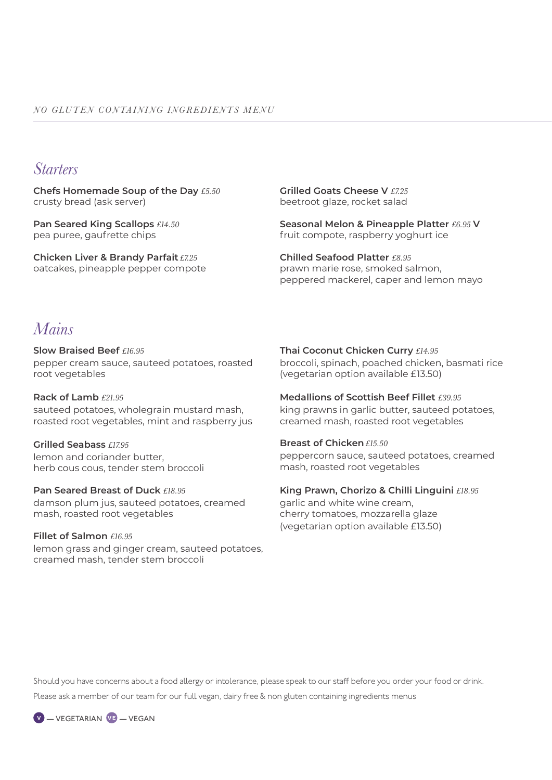## *Starters*

**Chefs Homemade Soup of the Day** *£5.50* crusty bread (ask server)

**Pan Seared King Scallops** *£14.50* pea puree, gaufrette chips

**Chicken Liver & Brandy Parfait** *£7.25* oatcakes, pineapple pepper compote **Grilled Goats Cheese V** *£7.25* beetroot glaze, rocket salad

**Seasonal Melon & Pineapple Platter** *£6.95* **V** fruit compote, raspberry yoghurt ice

**Chilled Seafood Platter** *£8.95* prawn marie rose, smoked salmon, peppered mackerel, caper and lemon mayo

## *Mains*

**Slow Braised Beef** *£16.95* pepper cream sauce, sauteed potatoes, roasted root vegetables

**Rack of Lamb** *£21.95* sauteed potatoes, wholegrain mustard mash, roasted root vegetables, mint and raspberry jus

**Grilled Seabass** *£17.95* lemon and coriander butter, herb cous cous, tender stem broccoli

**Pan Seared Breast of Duck** *£18.95* damson plum jus, sauteed potatoes, creamed mash, roasted root vegetables

**Fillet of Salmon** *£16.95* lemon grass and ginger cream, sauteed potatoes, creamed mash, tender stem broccoli

**Thai Coconut Chicken Curry** *£14.95* broccoli, spinach, poached chicken, basmati rice (vegetarian option available £13.50)

**Medallions of Scottish Beef Fillet** *£39.95* king prawns in garlic butter, sauteed potatoes, creamed mash, roasted root vegetables

**Breast of Chicken** *£15.50*

peppercorn sauce, sauteed potatoes, creamed mash, roasted root vegetables

**King Prawn, Chorizo & Chilli Linguini** *£18.95* garlic and white wine cream, cherry tomatoes, mozzarella glaze (vegetarian option available £13.50)

Should you have concerns about a food allergy or intolerance, please speak to our staff before you order your food or drink. Please ask a member of our team for our full vegan, dairy free & non gluten containing ingredients menus